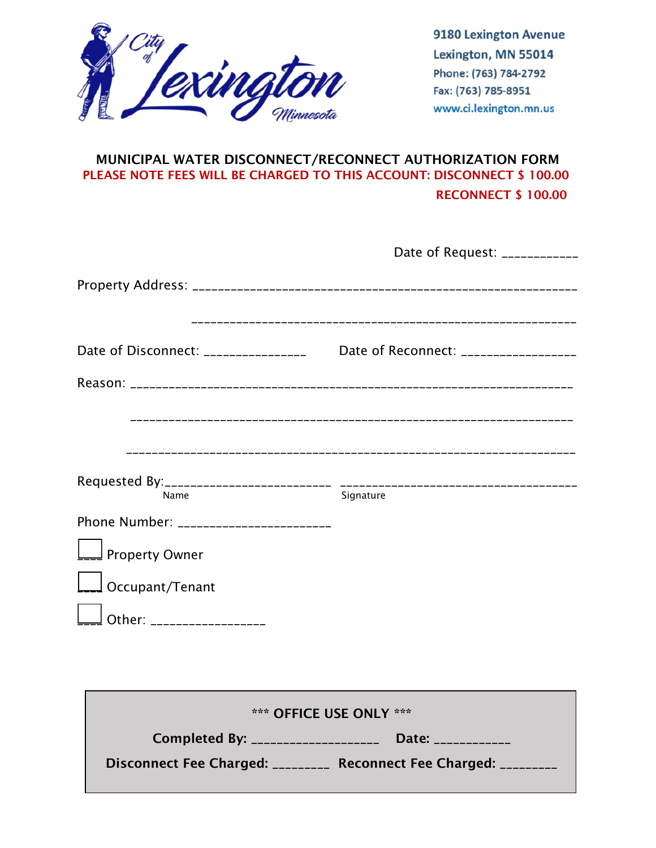

9180 Lexington Avenue Lexington, MN 55014 Phone: (763) 784-2792 Fax: (763) 785-8951 www.ci.lexington.mn.us

# MUNICIPAL WATER DISCONNECT/RECONNECT AUTHORIZATION FORM PLEASE NOTE FEES WILL BE CHARGED TO THIS ACCOUNT: DISCONNECT \$ 100.00 RECONNECT \$ 100.00

|                                                | Date of Request: ____________         |
|------------------------------------------------|---------------------------------------|
|                                                |                                       |
| Date of Disconnect: ________________           | Date of Reconnect: __________________ |
|                                                |                                       |
|                                                |                                       |
|                                                |                                       |
| Name<br>Phone Number: ________________________ | Signature                             |
| Property Owner                                 |                                       |
| Occupant/Tenant                                |                                       |
| Other: __________________                      |                                       |

| *** OFFICE USE ONLY ***           |                                |  |
|-----------------------------------|--------------------------------|--|
| Completed By: _____________       | Date: Date:                    |  |
| Disconnect Fee Charged: _________ | Reconnect Fee Charged: _______ |  |
|                                   |                                |  |